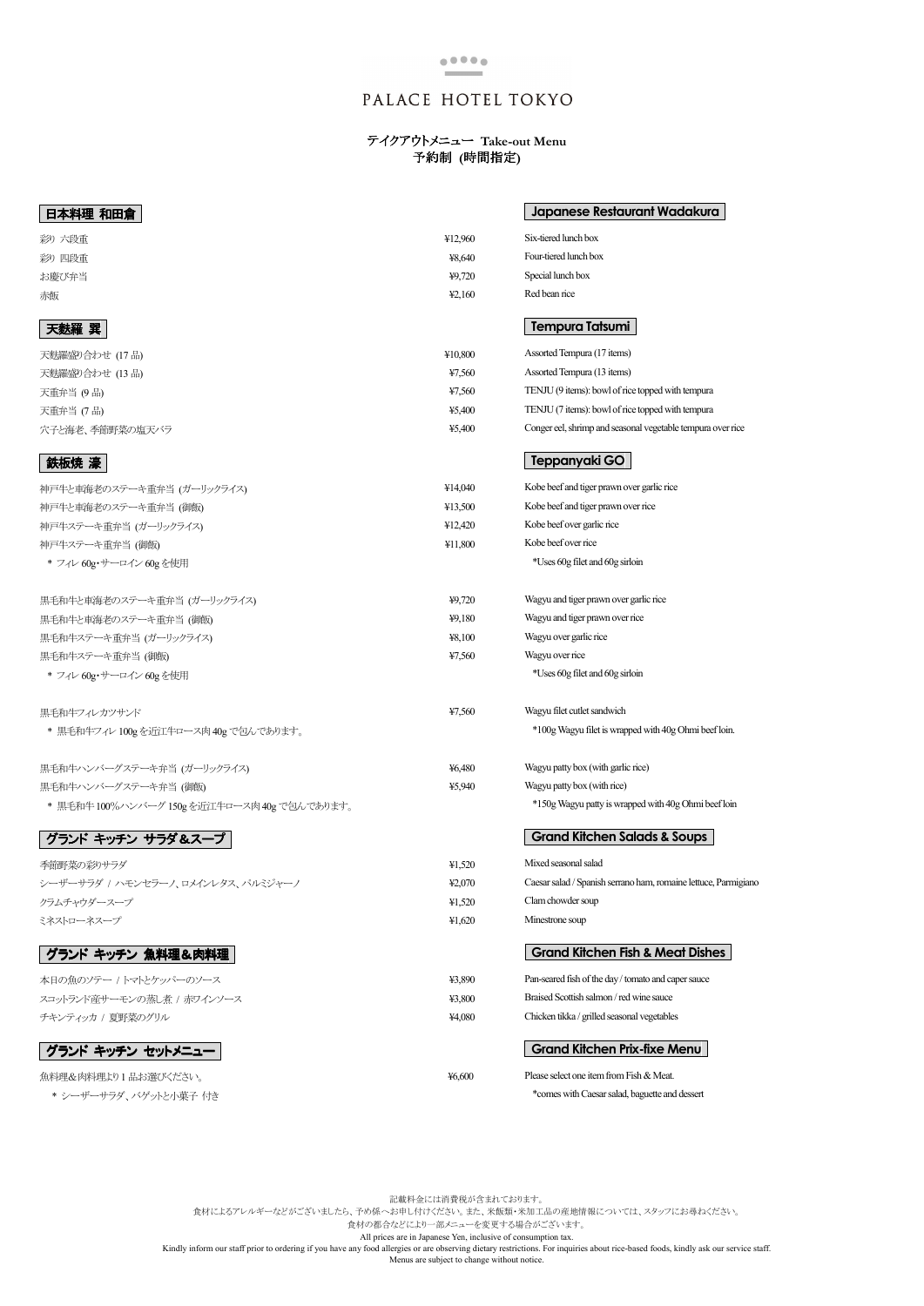

## PALACE HOTEL TOKYO

## テイクアウトメニュー **Take-out Menu**  予約制 **(**時間指定**)**

記載料金には消費税が含まれております。 食材によるアレルギーなどがございましたら、予め係へお申し付けください。また、米飯類・米加工品の産地情報については、スタッフにお尋ねください。 食材の都合などにより一部メニューを変更する場合がございます。 All prices are in Japanese Yen, inclusive of consumption tax.

Kindly inform our staff prior to ordering if you have any food allergies or are observing dietary restrictions. For inquiries about rice-based foods, kindly ask our service staff. Menus are subject to change without notice.

#### 本日の魚のソテー / トマトとケッパーのソース

スコットランド産サーモンの蒸し煮 / 赤ワインソース チキンティッカ / 夏野菜のグリル

## グランド キッチン セットメニュー

魚料理&肉料理より 1 品お選びください。 \* シーザーサラダ、バゲットと小菓子 付き ¥3,890

¥6,600

| 日本料理 和田倉                                     |         | <b>Japanese Restaurant Wadakura</b>                             |
|----------------------------------------------|---------|-----------------------------------------------------------------|
| 彩り 六段重                                       | ¥12,960 | Six-tiered lunch box                                            |
| 彩り 四段重                                       | ¥8,640  | Four-tiered lunch box                                           |
| お慶び弁当                                        | 49,720  | Special lunch box                                               |
| 赤飯                                           | 42,160  | Red bean rice                                                   |
| 天麩羅 巽                                        |         | Tempura Tatsumi                                                 |
| 天麩羅盛り合わせ (17 品)                              | ¥10,800 | Assorted Tempura (17 items)                                     |
| 天麩羅盛り合わせ (13品)                               | ¥7,560  | Assorted Tempura (13 items)                                     |
| 天重弁当 (9品)                                    | ¥7,560  | TENJU (9 items): bowl of rice topped with tempura               |
| 天重弁当 (7品)                                    | ¥5,400  | TENJU (7 items): bowl of rice topped with tempura               |
| 穴子と海老、季節野菜の塩天バラ                              | ¥5,400  | Conger eel, shrimp and seasonal vegetable tempura over rice     |
| 鉄板焼 濠                                        |         | Teppanyaki GO                                                   |
| 神戸牛と車海老のステーキ重弁当 (ガーリックライス)                   | ¥14,040 | Kobe beef and tiger prawn over garlic rice                      |
| 神戸牛と車海老のステーキ重弁当 (御飯)                         | 413,500 | Kobe beef and tiger prawn over rice                             |
| 神戸牛ステーキ重弁当 (ガーリックライス)                        | ¥12,420 | Kobe beef over garlic rice                                      |
| 神戸牛ステーキ重弁当 (御飯)                              | ¥11,800 | Kobe beef over rice                                             |
| * フィレ 60g·サーロイン 60g を使用                      |         | *Uses 60g filet and 60g sirloin                                 |
| 黒毛和牛と車海老のステーキ重弁当 (ガーリックライス)                  | ¥9,720  | Wagyu and tiger prawn over garlic rice                          |
| 黒毛和牛と車海老のステーキ重弁当 (御飯)                        | ¥9,180  | Wagyu and tiger prawn over rice                                 |
| 黒毛和牛ステーキ重弁当 (ガーリックライス)                       | ¥8,100  | Wagyu over garlic rice                                          |
| 黒毛和牛ステーキ重弁当 (御飯)                             | ¥7,560  | Wagyu over rice                                                 |
| * フィレ 60g·サーロイン 60g を使用                      |         | *Uses 60g filet and 60g sirloin                                 |
| 黒毛和牛フィレカツサンド                                 | ¥7,560  | Wagyu filet cutlet sandwich                                     |
| * 黒毛和牛フィレ 100gを近江牛ロース肉 40g で包んであります。         |         | *100g Wagyu filet is wrapped with 40g Ohmi beef loin.           |
| 黒毛和牛ハンバーグステーキ弁当 (ガーリックライス)                   | ¥6,480  | Wagyu patty box (with garlic rice)                              |
| 黒毛和牛ハンバーグステーキ弁当 (御飯)                         | ¥5,940  | Wagyu patty box (with rice)                                     |
| * 黒毛和牛 100%ハンバーグ 150g を近江牛ロース肉 40g で包んであります。 |         | *150g Wagyu patty is wrapped with 40g Ohmi beef loin            |
| グランド キッチン サラダ&スープ                            |         | <b>Grand Kitchen Salads &amp; Soups</b>                         |
| 季節野菜の彩りサラダ                                   | 41,520  | Mixed seasonal salad                                            |
| シーザーサラダ / ハモンセラーノ、ロメインレタス、パルミジャーノ            | 42,070  | Caesar salad / Spanish serrano ham, romaine lettuce, Parmigiano |
| クラムチャウダースープ                                  | 41,520  | Clam chowder soup                                               |
| ミネストローネスープ                                   | 41,620  | Minestrone soup                                                 |
| グランド キッチン 魚料理&肉料理                            |         | <b>Grand Kitchen Fish &amp; Meat Dishes</b>                     |

# グランド キッチン 魚料理&肉料理

| ¥3.800 | Braised Scottish salmon / red wine sauce    |
|--------|---------------------------------------------|
| ¥4.080 | Chicken tikka / grilled seasonal vegetables |

| Pan-seared fish of the day / tomato and caper sauce |
|-----------------------------------------------------|
|-----------------------------------------------------|

## **Grand Kitchen Prix-fixe Menu**

Please select one item from Fish & Meat.

\*comes with Caesar salad, baguette and dessert